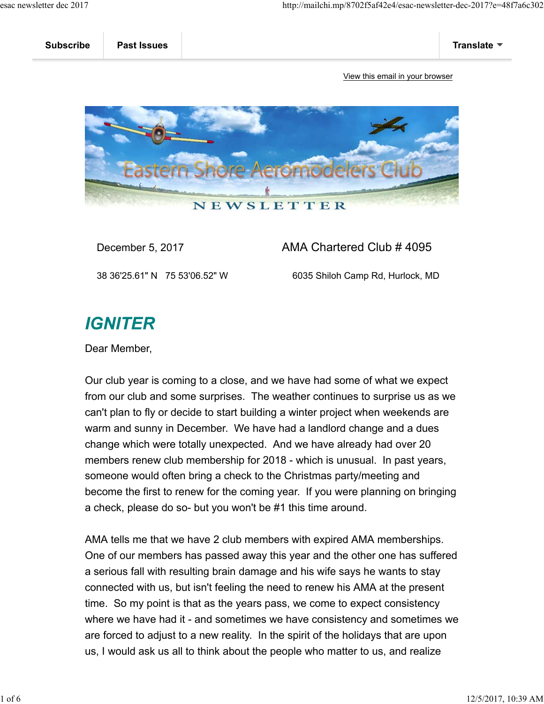

## December 5, 2017 AMA Chartered Club # 4095

38 36'25.61" N 75 53'06.52" W 6035 Shiloh Camp Rd, Hurlock, MD

## **IGNITER**

Dear Member,

Our club year is coming to a close, and we have had some of what we expect from our club and some surprises. The weather continues to surprise us as we can't plan to fly or decide to start building a winter project when weekends are warm and sunny in December. We have had a landlord change and a dues change which were totally unexpected. And we have already had over 20 members renew club membership for 2018 - which is unusual. In past years, someone would often bring a check to the Christmas party/meeting and become the first to renew for the coming year. If you were planning on bringing a check, please do so- but you won't be #1 this time around.

AMA tells me that we have 2 club members with expired AMA memberships. One of our members has passed away this year and the other one has suffered a serious fall with resulting brain damage and his wife says he wants to stay connected with us, but isn't feeling the need to renew his AMA at the present time. So my point is that as the years pass, we come to expect consistency where we have had it - and sometimes we have consistency and sometimes we are forced to adjust to a new reality. In the spirit of the holidays that are upon us, I would ask us all to think about the people who matter to us, and realize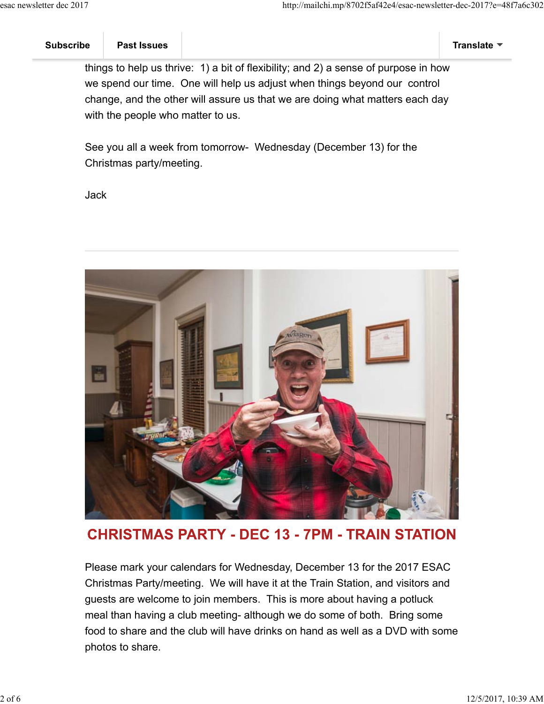things to help us thrive: 1) a bit of flexibility; and 2) a sense of purpose in how we spend our time. One will help us adjust when things beyond our control change, and the other will assure us that we are doing what matters each day with the people who matter to us.

See you all a week from tomorrow- Wednesday (December 13) for the Christmas party/meeting.

Jack



**CHRISTMAS PARTY - DEC 13 - 7PM - TRAIN STATION** 

Please mark your calendars for Wednesday, December 13 for the 2017 ESAC Christmas Party/meeting. We will have it at the Train Station, and visitors and guests are welcome to join members. This is more about having a potluck meal than having a club meeting- although we do some of both. Bring some food to share and the club will have drinks on hand as well as a DVD with some photos to share.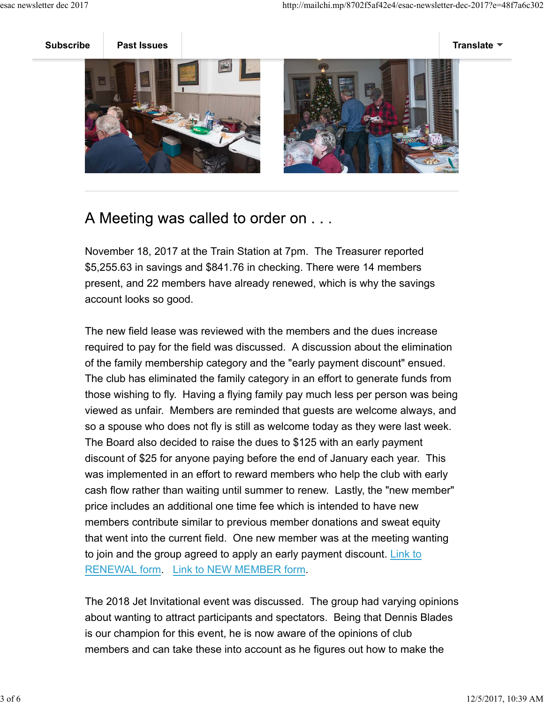

## A Meeting was called to order on . . .

November 18, 2017 at the Train Station at 7pm. The Treasurer reported \$5,255.63 in savings and \$841.76 in checking. There were 14 members present, and 22 members have already renewed, which is why the savings account looks so good.

The new field lease was reviewed with the members and the dues increase required to pay for the field was discussed. A discussion about the elimination of the family membership category and the "early payment discount" ensued. The club has eliminated the family category in an effort to generate funds from those wishing to fly. Having a flying family pay much less per person was being viewed as unfair. Members are reminded that guests are welcome always, and so a spouse who does not fly is still as welcome today as they were last week. The Board also decided to raise the dues to \$125 with an early payment discount of \$25 for anyone paying before the end of January each year. This was implemented in an effort to reward members who help the club with early cash flow rather than waiting until summer to renew. Lastly, the "new member" price includes an additional one time fee which is intended to have new members contribute similar to previous member donations and sweat equity that went into the current field. One new member was at the meeting wanting to join and the group agreed to apply an early payment discount. Link to RENEWAL form. Link to NEW MEMBER form.

The 2018 Jet Invitational event was discussed. The group had varying opinions about wanting to attract participants and spectators. Being that Dennis Blades is our champion for this event, he is now aware of the opinions of club members and can take these into account as he figures out how to make the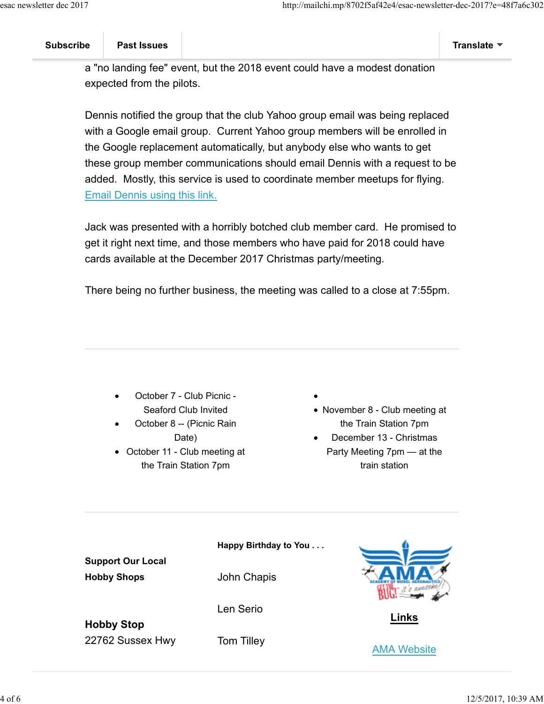a "no landing fee" event, but the 2018 event could have a modest donation expected from the pilots.

Dennis notified the group that the club Yahoo group email was being replaced with a Google email group. Current Yahoo group members will be enrolled in the Google replacement automatically, but anybody else who wants to get these group member communications should email Dennis with a request to be added. Mostly, this service is used to coordinate member meetups for flying. Email Dennis using this link.

Jack was presented with a horribly botched club member card. He promised to get it right next time, and those members who have paid for 2018 could have cards available at the December 2017 Christmas party/meeting.

There being no further business, the meeting was called to a close at 7:55pm.

- October 7 Club Picnic Seaford Club Invited
- October 8 -- (Picnic Rain Date)
- October 11 Club meeting at the Train Station 7pm
- 
- November 8 Club meeting at the Train Station 7pm
- December 13 Christmas Party Meeting 7pm — at the train station

| <b>Support Our Local</b>              | Happy Birthday to You |                    |
|---------------------------------------|-----------------------|--------------------|
| <b>Hobby Shops</b>                    | John Chapis           |                    |
| <b>Hobby Stop</b><br>22762 Sussex Hwy | Len Serio             | Links              |
|                                       | <b>Tom Tilley</b>     | <b>AMA Website</b> |